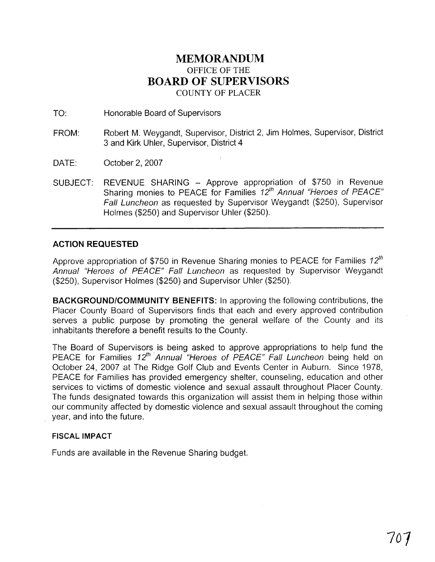## **MEMORANDUM**  OFFICE OF THE **BOARD OF SUPERVISORS**  COUNTY OF PLACER

TO: Honorable Board of Supervisors

- FROM: Robert M. Weygandt, Supervisor, District 2, Jim Holmes, Supervisor, District 3 and Kirk Uhler, Supervisor, District 4
- DATE: October 2, 2007
- SUBJECT: REVENUE SHARING Approve appropriation of \$750 in Revenue Sharing monies to PEACE for Families  $12<sup>th</sup>$  Annual "Heroes of PEACE" Fall Luncheon as requested by Supervisor Weygandt (\$250), Supervisor Holmes (\$250) and Supervisor Uhler (\$250).

## **ACTION REQUESTED**

Approve appropriation of \$750 in Revenue Sharing monies to PEACE for Families  $12^{th}$ Annual "Heroes of PEACE" Fall Luncheon as requested by Supervisor Weygandt (\$250), Supervisor Holmes (\$250) and Supervisor Uhler (\$250).

**BACKGROUNDICOMMUNITY BENEFITS:** In approving the following contributions, the Placer County Board of Supervisors finds that each and every approved contribution serves a public purpose by promoting the general welfare of the County and its inhabitants therefore a benefit results to the County.

The Board of Supervisors is being asked to approve appropriations to help fund the PEACE for Families 12<sup>th</sup> Annual "Heroes of PEACE" Fall Luncheon being held on October 24, 2007 at The Ridge Golf Club and Events Center in Auburn. Since 1978, PEACE for Families has provided emergency shelter, counseling, education and other services to victims of domestic violence and sexual assault throughout Placer County. The funds designated towards this organization will assist them in helping those within our community affected by domestic violence and sexual assault throughout the coming year, and into the future.

## **FISCAL IMPACT**

Funds are available in the Revenue Sharing budget.